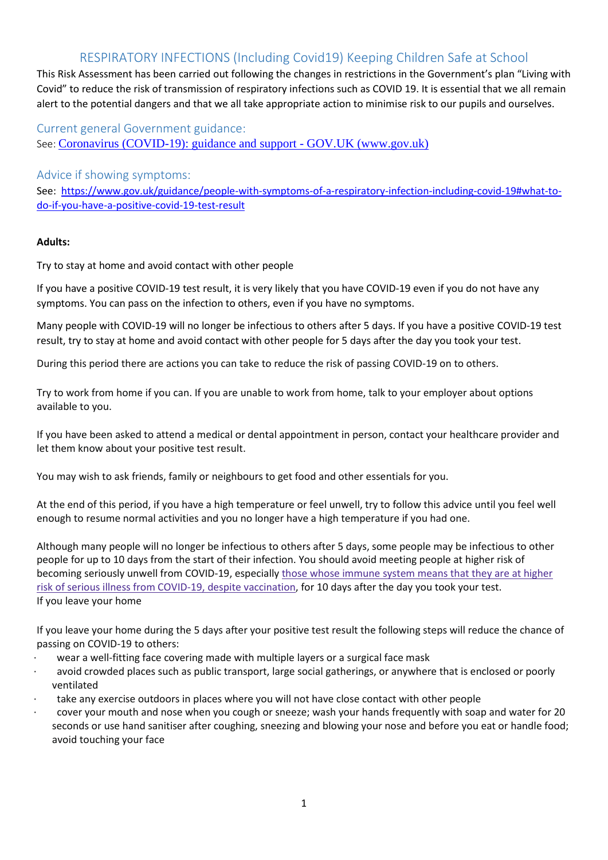This Risk Assessment has been carried out following the changes in restrictions in the Government's plan "Living with Covid" to reduce the risk of transmission of respiratory infections such as COVID 19. It is essential that we all remain alert to the potential dangers and that we all take appropriate action to minimise risk to our pupils and ourselves.

Current general Government guidance: See: [Coronavirus \(COVID-19\): guidance and support -](https://www.gov.uk/coronavirus?gclid=EAIaIQobChMI3OyLxvaO-AIV4IBQBh0Sow3qEAAYASAAEgL3DfD_BwE) GOV.UK (www.gov.uk)

### Advice if showing symptoms:

See: [https://www.gov.uk/guidance/people-with-symptoms-of-a-respiratory-infection-including-covid-19#what-to](https://www.gov.uk/guidance/people-with-symptoms-of-a-respiratory-infection-including-covid-19#what-to-do-if-you-have-a-positive-covid-19-test-result)[do-if-you-have-a-positive-covid-19-test-result](https://www.gov.uk/guidance/people-with-symptoms-of-a-respiratory-infection-including-covid-19#what-to-do-if-you-have-a-positive-covid-19-test-result)

### **Adults:**

Try to stay at home and avoid contact with other people

If you have a positive COVID-19 test result, it is very likely that you have COVID-19 even if you do not have any symptoms. You can pass on the infection to others, even if you have no symptoms.

Many people with COVID-19 will no longer be infectious to others after 5 days. If you have a positive COVID-19 test result, try to stay at home and avoid contact with other people for 5 days after the day you took your test.

During this period there are actions you can take to reduce the risk of passing COVID-19 on to others.

Try to work from home if you can. If you are unable to work from home, talk to your employer about options available to you.

If you have been asked to attend a medical or dental appointment in person, contact your healthcare provider and let them know about your positive test result.

You may wish to ask friends, family or neighbours to get food and other essentials for you.

At the end of this period, if you have a high temperature or feel unwell, try to follow this advice until you feel well enough to resume normal activities and you no longer have a high temperature if you had one.

Although many people will no longer be infectious to others after 5 days, some people may be infectious to other people for up to 10 days from the start of their infection. You should avoid meeting people at higher risk of becoming seriously unwell from COVID-19, especially those whose [immune](https://www.gov.uk/government/publications/covid-19-guidance-for-people-whose-immune-system-means-they-are-at-higher-risk) system means that they are at higher risk of serious illness from COVID-19, despite [vaccination,](https://www.gov.uk/government/publications/covid-19-guidance-for-people-whose-immune-system-means-they-are-at-higher-risk) for 10 days after the day you took your test. If you leave your home

If you leave your home during the 5 days after your positive test result the following steps will reduce the chance of passing on COVID-19 to others:

- wear a well-fitting face covering made with multiple layers or a surgical face mask
- avoid crowded places such as public transport, large social gatherings, or anywhere that is enclosed or poorly ventilated
- take any exercise outdoors in places where you will not have close contact with other people
- cover your mouth and nose when you cough or sneeze; wash your hands frequently with soap and water for 20 seconds or use hand sanitiser after coughing, sneezing and blowing your nose and before you eat or handle food; avoid touching your face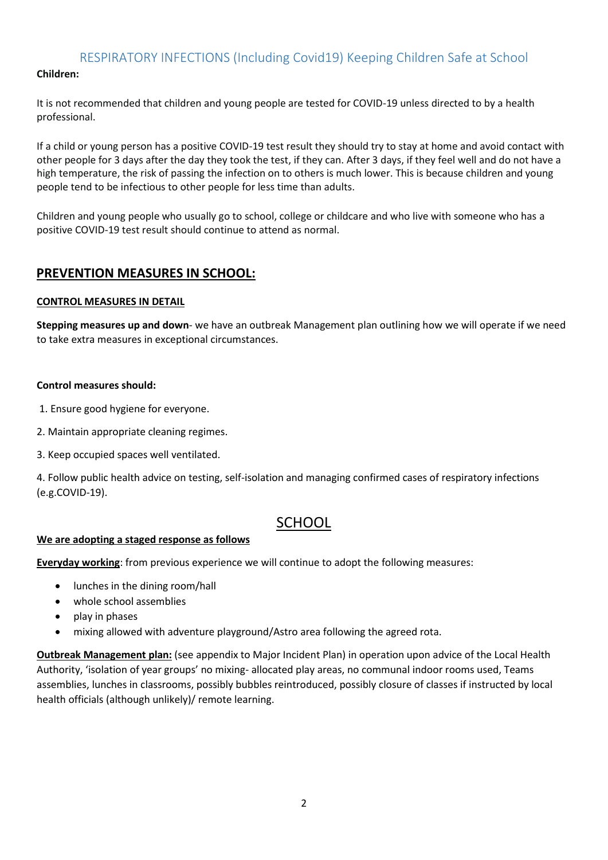### **Children:**

It is not recommended that children and young people are tested for COVID-19 unless directed to by a health professional.

If a child or young person has a positive COVID-19 test result they should try to stay at home and avoid contact with other people for 3 days after the day they took the test, if they can. After 3 days, if they feel well and do not have a high temperature, the risk of passing the infection on to others is much lower. This is because children and young people tend to be infectious to other people for less time than adults.

Children and young people who usually go to school, college or childcare and who live with someone who has a positive COVID-19 test result should continue to attend as normal.

### **PREVENTION MEASURES IN SCHOOL:**

### **CONTROL MEASURES IN DETAIL**

**Stepping measures up and down**- we have an outbreak Management plan outlining how we will operate if we need to take extra measures in exceptional circumstances.

### **Control measures should:**

- 1. Ensure good hygiene for everyone.
- 2. Maintain appropriate cleaning regimes.
- 3. Keep occupied spaces well ventilated.

4. Follow public health advice on testing, self-isolation and managing confirmed cases of respiratory infections (e.g.COVID-19).

## **SCHOOL**

#### **We are adopting a staged response as follows**

**Everyday working**: from previous experience we will continue to adopt the following measures:

- lunches in the dining room/hall
- whole school assemblies
- play in phases
- mixing allowed with adventure playground/Astro area following the agreed rota.

**Outbreak Management plan:** (see appendix to Major Incident Plan) in operation upon advice of the Local Health Authority, 'isolation of year groups' no mixing- allocated play areas, no communal indoor rooms used, Teams assemblies, lunches in classrooms, possibly bubbles reintroduced, possibly closure of classes if instructed by local health officials (although unlikely)/ remote learning.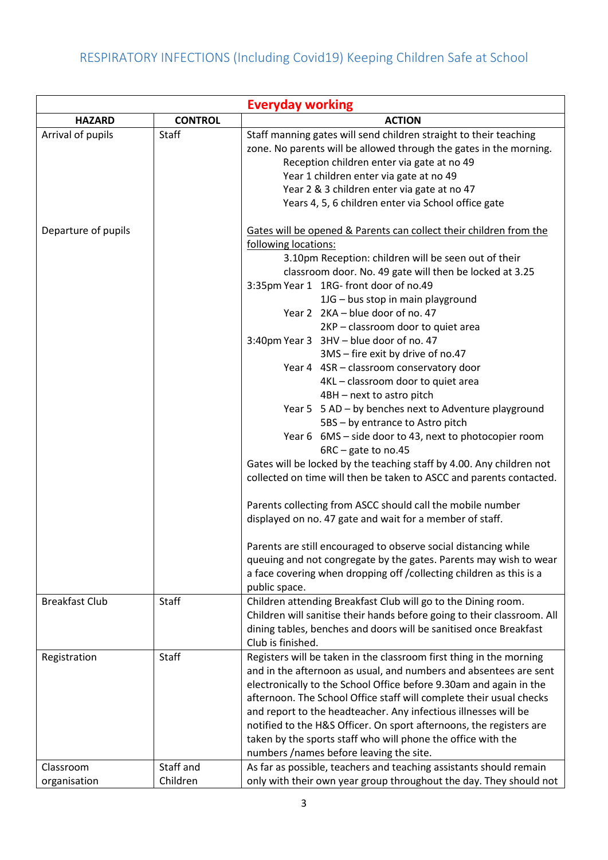|                           |                    | <b>Everyday working</b>                                                                                                                                                                                                                                                                                                                                                                                                                                                                                                                                                                                                                                                                                                                                                                                                                                                             |
|---------------------------|--------------------|-------------------------------------------------------------------------------------------------------------------------------------------------------------------------------------------------------------------------------------------------------------------------------------------------------------------------------------------------------------------------------------------------------------------------------------------------------------------------------------------------------------------------------------------------------------------------------------------------------------------------------------------------------------------------------------------------------------------------------------------------------------------------------------------------------------------------------------------------------------------------------------|
| <b>HAZARD</b>             | <b>CONTROL</b>     | <b>ACTION</b>                                                                                                                                                                                                                                                                                                                                                                                                                                                                                                                                                                                                                                                                                                                                                                                                                                                                       |
| Arrival of pupils         | Staff              | Staff manning gates will send children straight to their teaching<br>zone. No parents will be allowed through the gates in the morning.<br>Reception children enter via gate at no 49<br>Year 1 children enter via gate at no 49<br>Year 2 & 3 children enter via gate at no 47<br>Years 4, 5, 6 children enter via School office gate                                                                                                                                                                                                                                                                                                                                                                                                                                                                                                                                              |
| Departure of pupils       |                    | Gates will be opened & Parents can collect their children from the<br>following locations:<br>3.10pm Reception: children will be seen out of their<br>classroom door. No. 49 gate will then be locked at 3.25<br>3:35pm Year 1 1RG- front door of no.49<br>1JG - bus stop in main playground<br>Year 2 2KA - blue door of no. 47<br>2KP - classroom door to quiet area                                                                                                                                                                                                                                                                                                                                                                                                                                                                                                              |
|                           |                    | 3:40pm Year 3 3HV - blue door of no. 47<br>3MS - fire exit by drive of no.47<br>Year 4 4SR - classroom conservatory door<br>4KL - classroom door to quiet area<br>4BH - next to astro pitch<br>Year 5 5 AD - by benches next to Adventure playground<br>5BS - by entrance to Astro pitch<br>Year 6 6MS - side door to 43, next to photocopier room<br>6RC - gate to no.45<br>Gates will be locked by the teaching staff by 4.00. Any children not<br>collected on time will then be taken to ASCC and parents contacted.<br>Parents collecting from ASCC should call the mobile number<br>displayed on no. 47 gate and wait for a member of staff.<br>Parents are still encouraged to observe social distancing while<br>queuing and not congregate by the gates. Parents may wish to wear<br>a face covering when dropping off / collecting children as this is a<br>public space. |
| <b>Breakfast Club</b>     | Staff              | Children attending Breakfast Club will go to the Dining room.<br>Children will sanitise their hands before going to their classroom. All<br>dining tables, benches and doors will be sanitised once Breakfast<br>Club is finished.                                                                                                                                                                                                                                                                                                                                                                                                                                                                                                                                                                                                                                                  |
| Registration<br>Classroom | Staff<br>Staff and | Registers will be taken in the classroom first thing in the morning<br>and in the afternoon as usual, and numbers and absentees are sent<br>electronically to the School Office before 9.30am and again in the<br>afternoon. The School Office staff will complete their usual checks<br>and report to the headteacher. Any infectious illnesses will be<br>notified to the H&S Officer. On sport afternoons, the registers are<br>taken by the sports staff who will phone the office with the<br>numbers /names before leaving the site.<br>As far as possible, teachers and teaching assistants should remain                                                                                                                                                                                                                                                                    |
| organisation              | Children           | only with their own year group throughout the day. They should not                                                                                                                                                                                                                                                                                                                                                                                                                                                                                                                                                                                                                                                                                                                                                                                                                  |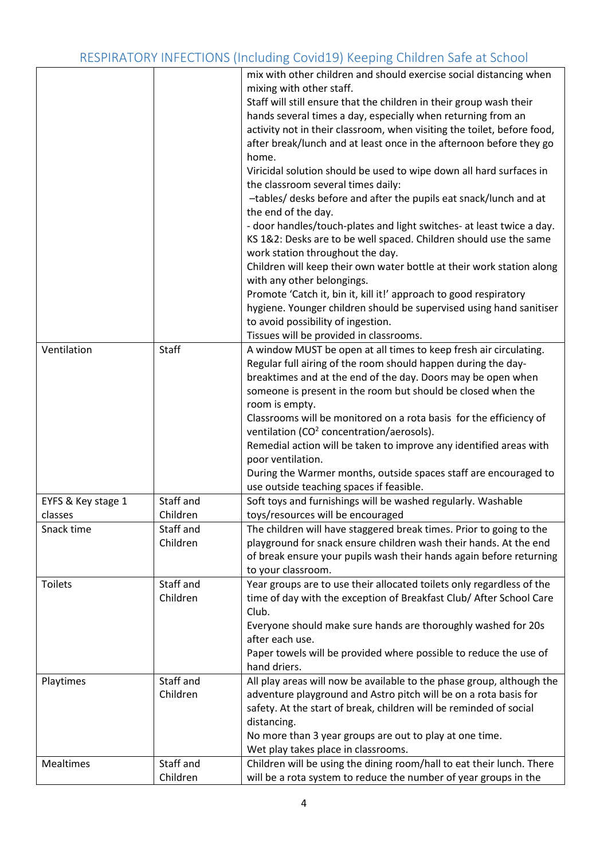|                    |              | mix with other children and should exercise social distancing when      |
|--------------------|--------------|-------------------------------------------------------------------------|
|                    |              | mixing with other staff.                                                |
|                    |              | Staff will still ensure that the children in their group wash their     |
|                    |              | hands several times a day, especially when returning from an            |
|                    |              |                                                                         |
|                    |              | activity not in their classroom, when visiting the toilet, before food, |
|                    |              | after break/lunch and at least once in the afternoon before they go     |
|                    |              | home.                                                                   |
|                    |              | Viricidal solution should be used to wipe down all hard surfaces in     |
|                    |              | the classroom several times daily:                                      |
|                    |              | -tables/ desks before and after the pupils eat snack/lunch and at       |
|                    |              | the end of the day.                                                     |
|                    |              | - door handles/touch-plates and light switches- at least twice a day.   |
|                    |              | KS 1&2: Desks are to be well spaced. Children should use the same       |
|                    |              | work station throughout the day.                                        |
|                    |              | Children will keep their own water bottle at their work station along   |
|                    |              | with any other belongings.                                              |
|                    |              | Promote 'Catch it, bin it, kill it!' approach to good respiratory       |
|                    |              | hygiene. Younger children should be supervised using hand sanitiser     |
|                    |              | to avoid possibility of ingestion.                                      |
|                    |              | Tissues will be provided in classrooms.                                 |
| Ventilation        | <b>Staff</b> | A window MUST be open at all times to keep fresh air circulating.       |
|                    |              | Regular full airing of the room should happen during the day-           |
|                    |              | breaktimes and at the end of the day. Doors may be open when            |
|                    |              | someone is present in the room but should be closed when the            |
|                    |              | room is empty.                                                          |
|                    |              |                                                                         |
|                    |              | Classrooms will be monitored on a rota basis for the efficiency of      |
|                    |              | ventilation (CO <sup>2</sup> concentration/aerosols).                   |
|                    |              | Remedial action will be taken to improve any identified areas with      |
|                    |              | poor ventilation.                                                       |
|                    |              | During the Warmer months, outside spaces staff are encouraged to        |
|                    |              | use outside teaching spaces if feasible.                                |
| EYFS & Key stage 1 | Staff and    | Soft toys and furnishings will be washed regularly. Washable            |
| classes            | Children     | toys/resources will be encouraged                                       |
| Snack time         | Staff and    | The children will have staggered break times. Prior to going to the     |
|                    | Children     | playground for snack ensure children wash their hands. At the end       |
|                    |              | of break ensure your pupils wash their hands again before returning     |
|                    |              | to your classroom.                                                      |
| <b>Toilets</b>     | Staff and    | Year groups are to use their allocated toilets only regardless of the   |
|                    | Children     | time of day with the exception of Breakfast Club/ After School Care     |
|                    |              | Club.                                                                   |
|                    |              | Everyone should make sure hands are thoroughly washed for 20s           |
|                    |              | after each use.                                                         |
|                    |              | Paper towels will be provided where possible to reduce the use of       |
|                    |              | hand driers.                                                            |
| Playtimes          | Staff and    | All play areas will now be available to the phase group, although the   |
|                    | Children     | adventure playground and Astro pitch will be on a rota basis for        |
|                    |              | safety. At the start of break, children will be reminded of social      |
|                    |              | distancing.                                                             |
|                    |              | No more than 3 year groups are out to play at one time.                 |
|                    |              | Wet play takes place in classrooms.                                     |
|                    |              |                                                                         |
| Mealtimes          | Staff and    | Children will be using the dining room/hall to eat their lunch. There   |
|                    | Children     | will be a rota system to reduce the number of year groups in the        |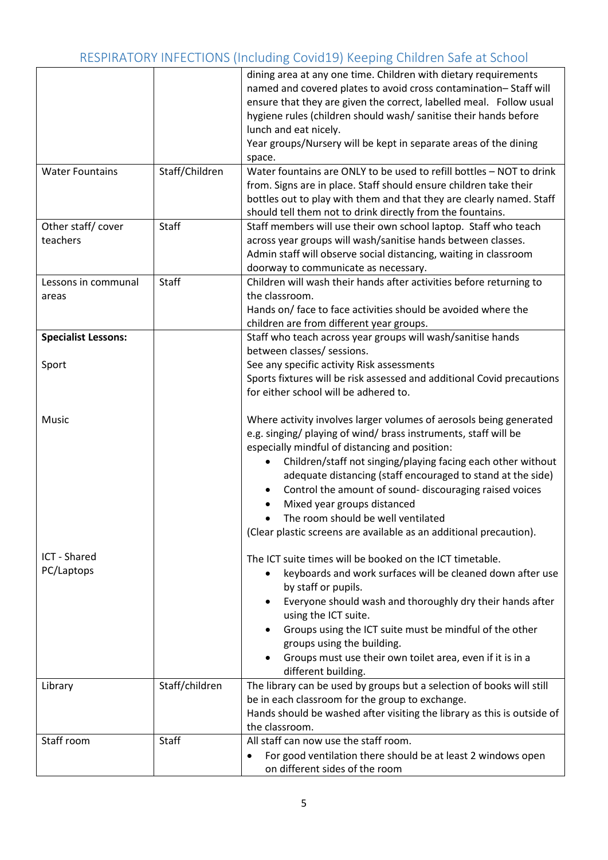| <b>Water Fountains</b>        | Staff/Children | dining area at any one time. Children with dietary requirements<br>named and covered plates to avoid cross contamination-Staff will<br>ensure that they are given the correct, labelled meal. Follow usual<br>hygiene rules (children should wash/ sanitise their hands before<br>lunch and eat nicely.<br>Year groups/Nursery will be kept in separate areas of the dining<br>space.<br>Water fountains are ONLY to be used to refill bottles - NOT to drink<br>from. Signs are in place. Staff should ensure children take their<br>bottles out to play with them and that they are clearly named. Staff |
|-------------------------------|----------------|------------------------------------------------------------------------------------------------------------------------------------------------------------------------------------------------------------------------------------------------------------------------------------------------------------------------------------------------------------------------------------------------------------------------------------------------------------------------------------------------------------------------------------------------------------------------------------------------------------|
|                               | Staff          | should tell them not to drink directly from the fountains.                                                                                                                                                                                                                                                                                                                                                                                                                                                                                                                                                 |
| Other staff/cover<br>teachers |                | Staff members will use their own school laptop. Staff who teach<br>across year groups will wash/sanitise hands between classes.<br>Admin staff will observe social distancing, waiting in classroom<br>doorway to communicate as necessary.                                                                                                                                                                                                                                                                                                                                                                |
| Lessons in communal<br>areas  | Staff          | Children will wash their hands after activities before returning to<br>the classroom.<br>Hands on/ face to face activities should be avoided where the<br>children are from different year groups.                                                                                                                                                                                                                                                                                                                                                                                                         |
| <b>Specialist Lessons:</b>    |                | Staff who teach across year groups will wash/sanitise hands<br>between classes/ sessions.                                                                                                                                                                                                                                                                                                                                                                                                                                                                                                                  |
| Sport                         |                | See any specific activity Risk assessments<br>Sports fixtures will be risk assessed and additional Covid precautions<br>for either school will be adhered to.                                                                                                                                                                                                                                                                                                                                                                                                                                              |
| Music                         |                | Where activity involves larger volumes of aerosols being generated<br>e.g. singing/ playing of wind/ brass instruments, staff will be<br>especially mindful of distancing and position:<br>Children/staff not singing/playing facing each other without<br>adequate distancing (staff encouraged to stand at the side)<br>Control the amount of sound- discouraging raised voices<br>Mixed year groups distanced<br>The room should be well ventilated<br>(Clear plastic screens are available as an additional precaution).                                                                               |
| ICT - Shared<br>PC/Laptops    |                | The ICT suite times will be booked on the ICT timetable.<br>keyboards and work surfaces will be cleaned down after use<br>by staff or pupils.<br>Everyone should wash and thoroughly dry their hands after<br>using the ICT suite.<br>Groups using the ICT suite must be mindful of the other<br>groups using the building.<br>Groups must use their own toilet area, even if it is in a<br>different building.                                                                                                                                                                                            |
| Library                       | Staff/children | The library can be used by groups but a selection of books will still<br>be in each classroom for the group to exchange.<br>Hands should be washed after visiting the library as this is outside of<br>the classroom.                                                                                                                                                                                                                                                                                                                                                                                      |
| Staff room                    | Staff          | All staff can now use the staff room.<br>For good ventilation there should be at least 2 windows open<br>$\bullet$<br>on different sides of the room                                                                                                                                                                                                                                                                                                                                                                                                                                                       |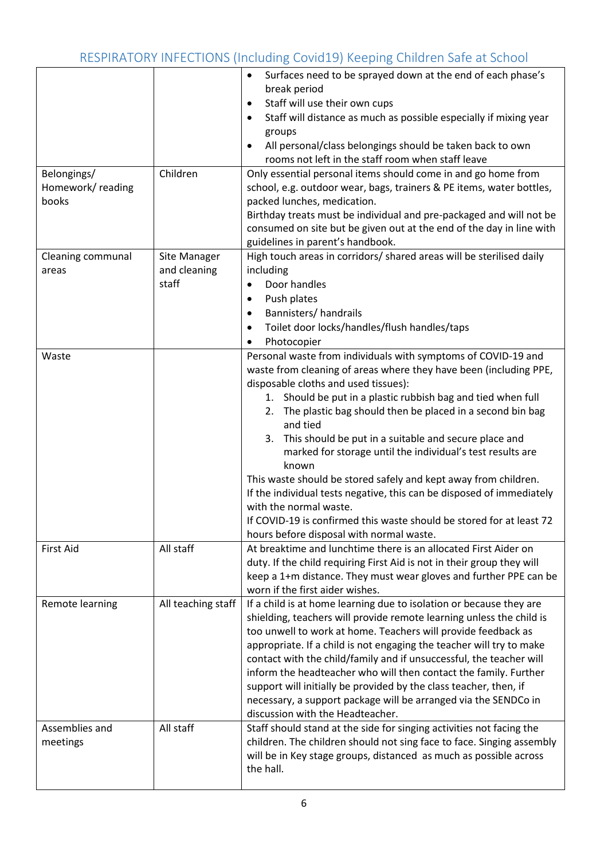| Belongings/                | Children                              | Surfaces need to be sprayed down at the end of each phase's<br>$\bullet$<br>break period<br>Staff will use their own cups<br>$\bullet$<br>Staff will distance as much as possible especially if mixing year<br>$\bullet$<br>groups<br>All personal/class belongings should be taken back to own<br>$\bullet$<br>rooms not left in the staff room when staff leave<br>Only essential personal items should come in and go home from                                                                                                                                                                                                                                                                                                                     |
|----------------------------|---------------------------------------|--------------------------------------------------------------------------------------------------------------------------------------------------------------------------------------------------------------------------------------------------------------------------------------------------------------------------------------------------------------------------------------------------------------------------------------------------------------------------------------------------------------------------------------------------------------------------------------------------------------------------------------------------------------------------------------------------------------------------------------------------------|
| Homework/reading<br>books  |                                       | school, e.g. outdoor wear, bags, trainers & PE items, water bottles,<br>packed lunches, medication.<br>Birthday treats must be individual and pre-packaged and will not be<br>consumed on site but be given out at the end of the day in line with<br>guidelines in parent's handbook.                                                                                                                                                                                                                                                                                                                                                                                                                                                                 |
| Cleaning communal<br>areas | Site Manager<br>and cleaning<br>staff | High touch areas in corridors/ shared areas will be sterilised daily<br>including<br>Door handles<br>$\bullet$<br>Push plates<br>$\bullet$<br>Bannisters/handrails<br>$\bullet$<br>Toilet door locks/handles/flush handles/taps<br>$\bullet$<br>Photocopier<br>$\bullet$                                                                                                                                                                                                                                                                                                                                                                                                                                                                               |
| Waste                      |                                       | Personal waste from individuals with symptoms of COVID-19 and<br>waste from cleaning of areas where they have been (including PPE,<br>disposable cloths and used tissues):<br>1. Should be put in a plastic rubbish bag and tied when full<br>2. The plastic bag should then be placed in a second bin bag<br>and tied<br>This should be put in a suitable and secure place and<br>3.<br>marked for storage until the individual's test results are<br>known<br>This waste should be stored safely and kept away from children.<br>If the individual tests negative, this can be disposed of immediately<br>with the normal waste.<br>If COVID-19 is confirmed this waste should be stored for at least 72<br>hours before disposal with normal waste. |
| <b>First Aid</b>           | All staff                             | At breaktime and lunchtime there is an allocated First Aider on<br>duty. If the child requiring First Aid is not in their group they will<br>keep a 1+m distance. They must wear gloves and further PPE can be<br>worn if the first aider wishes.                                                                                                                                                                                                                                                                                                                                                                                                                                                                                                      |
| Remote learning            | All teaching staff                    | If a child is at home learning due to isolation or because they are<br>shielding, teachers will provide remote learning unless the child is<br>too unwell to work at home. Teachers will provide feedback as<br>appropriate. If a child is not engaging the teacher will try to make<br>contact with the child/family and if unsuccessful, the teacher will<br>inform the headteacher who will then contact the family. Further<br>support will initially be provided by the class teacher, then, if<br>necessary, a support package will be arranged via the SENDCo in<br>discussion with the Headteacher.                                                                                                                                            |
| Assemblies and<br>meetings | All staff                             | Staff should stand at the side for singing activities not facing the<br>children. The children should not sing face to face. Singing assembly<br>will be in Key stage groups, distanced as much as possible across<br>the hall.                                                                                                                                                                                                                                                                                                                                                                                                                                                                                                                        |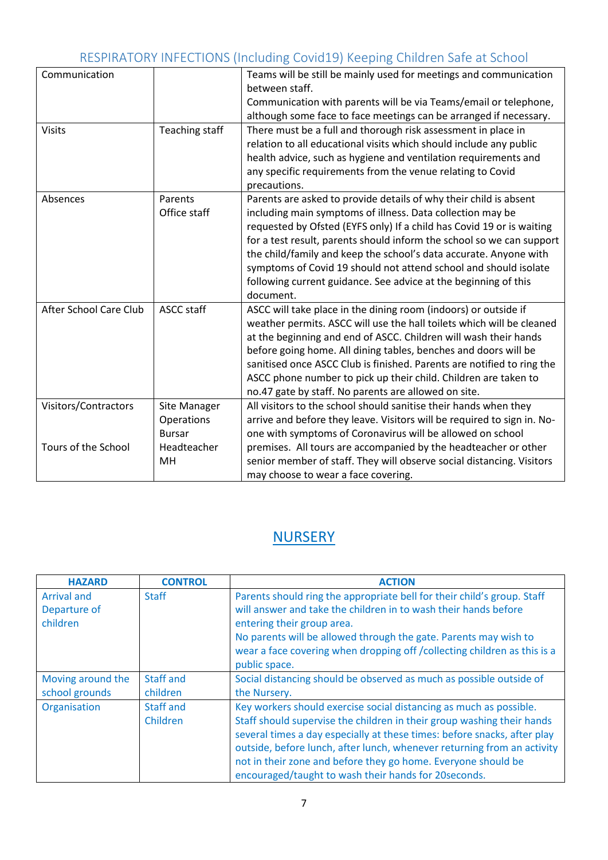| Communication          |                                             | Teams will be still be mainly used for meetings and communication<br>between staff.                                                                                                                                                                                                                                                                                                                                                                                                                        |
|------------------------|---------------------------------------------|------------------------------------------------------------------------------------------------------------------------------------------------------------------------------------------------------------------------------------------------------------------------------------------------------------------------------------------------------------------------------------------------------------------------------------------------------------------------------------------------------------|
|                        |                                             | Communication with parents will be via Teams/email or telephone,<br>although some face to face meetings can be arranged if necessary.                                                                                                                                                                                                                                                                                                                                                                      |
| <b>Visits</b>          | <b>Teaching staff</b>                       | There must be a full and thorough risk assessment in place in<br>relation to all educational visits which should include any public<br>health advice, such as hygiene and ventilation requirements and<br>any specific requirements from the venue relating to Covid<br>precautions.                                                                                                                                                                                                                       |
| Absences               | Parents<br>Office staff                     | Parents are asked to provide details of why their child is absent<br>including main symptoms of illness. Data collection may be<br>requested by Ofsted (EYFS only) If a child has Covid 19 or is waiting<br>for a test result, parents should inform the school so we can support<br>the child/family and keep the school's data accurate. Anyone with<br>symptoms of Covid 19 should not attend school and should isolate<br>following current guidance. See advice at the beginning of this<br>document. |
| After School Care Club | ASCC staff                                  | ASCC will take place in the dining room (indoors) or outside if<br>weather permits. ASCC will use the hall toilets which will be cleaned<br>at the beginning and end of ASCC. Children will wash their hands<br>before going home. All dining tables, benches and doors will be<br>sanitised once ASCC Club is finished. Parents are notified to ring the<br>ASCC phone number to pick up their child. Children are taken to<br>no.47 gate by staff. No parents are allowed on site.                       |
| Visitors/Contractors   | Site Manager<br>Operations<br><b>Bursar</b> | All visitors to the school should sanitise their hands when they<br>arrive and before they leave. Visitors will be required to sign in. No-<br>one with symptoms of Coronavirus will be allowed on school                                                                                                                                                                                                                                                                                                  |
| Tours of the School    | Headteacher<br>MH                           | premises. All tours are accompanied by the headteacher or other<br>senior member of staff. They will observe social distancing. Visitors<br>may choose to wear a face covering.                                                                                                                                                                                                                                                                                                                            |

## **NURSERY**

| <b>HAZARD</b>                                  | <b>CONTROL</b>        | <b>ACTION</b>                                                                                                                                                                                                                                                                                                                                                                                                                 |
|------------------------------------------------|-----------------------|-------------------------------------------------------------------------------------------------------------------------------------------------------------------------------------------------------------------------------------------------------------------------------------------------------------------------------------------------------------------------------------------------------------------------------|
| <b>Arrival and</b><br>Departure of<br>children | <b>Staff</b>          | Parents should ring the appropriate bell for their child's group. Staff<br>will answer and take the children in to wash their hands before<br>entering their group area.<br>No parents will be allowed through the gate. Parents may wish to<br>wear a face covering when dropping off / collecting children as this is a<br>public space.                                                                                    |
| Moving around the<br>school grounds            | Staff and<br>children | Social distancing should be observed as much as possible outside of<br>the Nursery.                                                                                                                                                                                                                                                                                                                                           |
| Organisation                                   | Staff and<br>Children | Key workers should exercise social distancing as much as possible.<br>Staff should supervise the children in their group washing their hands<br>several times a day especially at these times: before snacks, after play<br>outside, before lunch, after lunch, whenever returning from an activity<br>not in their zone and before they go home. Everyone should be<br>encouraged/taught to wash their hands for 20 seconds. |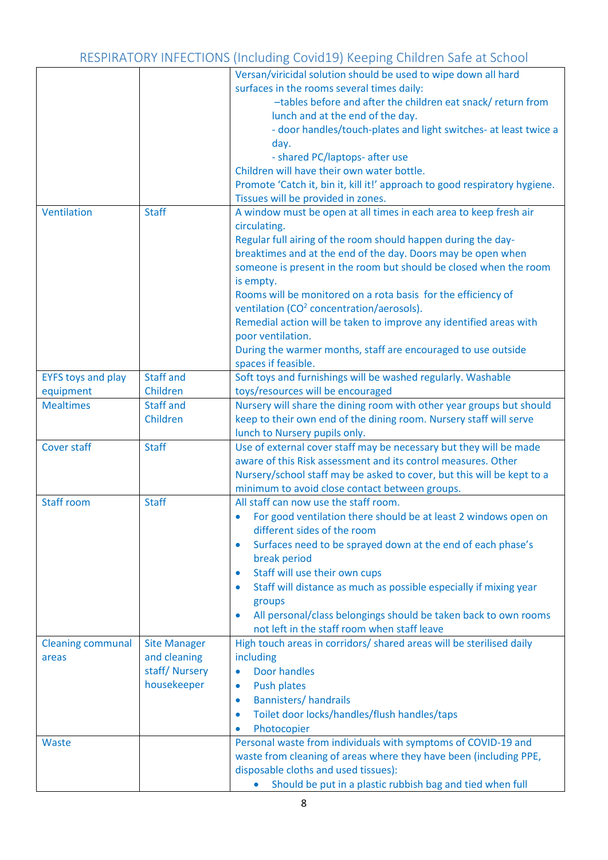|                           |                     | Versan/viricidal solution should be used to wipe down all hard                                                                      |
|---------------------------|---------------------|-------------------------------------------------------------------------------------------------------------------------------------|
|                           |                     | surfaces in the rooms several times daily:                                                                                          |
|                           |                     | -tables before and after the children eat snack/ return from                                                                        |
|                           |                     | lunch and at the end of the day.                                                                                                    |
|                           |                     | - door handles/touch-plates and light switches- at least twice a                                                                    |
|                           |                     | day.                                                                                                                                |
|                           |                     | - shared PC/laptops- after use                                                                                                      |
|                           |                     | Children will have their own water bottle.                                                                                          |
|                           |                     | Promote 'Catch it, bin it, kill it!' approach to good respiratory hygiene.                                                          |
|                           |                     | Tissues will be provided in zones.                                                                                                  |
| Ventilation               | <b>Staff</b>        | A window must be open at all times in each area to keep fresh air                                                                   |
|                           |                     | circulating.                                                                                                                        |
|                           |                     | Regular full airing of the room should happen during the day-                                                                       |
|                           |                     | breaktimes and at the end of the day. Doors may be open when                                                                        |
|                           |                     | someone is present in the room but should be closed when the room                                                                   |
|                           |                     | is empty.                                                                                                                           |
|                           |                     | Rooms will be monitored on a rota basis for the efficiency of                                                                       |
|                           |                     | ventilation (CO <sup>2</sup> concentration/aerosols).                                                                               |
|                           |                     | Remedial action will be taken to improve any identified areas with                                                                  |
|                           |                     | poor ventilation.                                                                                                                   |
|                           |                     | During the warmer months, staff are encouraged to use outside                                                                       |
|                           |                     | spaces if feasible.                                                                                                                 |
| <b>EYFS toys and play</b> | <b>Staff and</b>    | Soft toys and furnishings will be washed regularly. Washable                                                                        |
| equipment                 | Children            | toys/resources will be encouraged                                                                                                   |
| <b>Mealtimes</b>          | <b>Staff and</b>    | Nursery will share the dining room with other year groups but should                                                                |
|                           | Children            | keep to their own end of the dining room. Nursery staff will serve                                                                  |
| Cover staff               |                     | lunch to Nursery pupils only.                                                                                                       |
|                           | <b>Staff</b>        | Use of external cover staff may be necessary but they will be made<br>aware of this Risk assessment and its control measures. Other |
|                           |                     | Nursery/school staff may be asked to cover, but this will be kept to a                                                              |
|                           |                     | minimum to avoid close contact between groups.                                                                                      |
| <b>Staff room</b>         | <b>Staff</b>        | All staff can now use the staff room.                                                                                               |
|                           |                     | For good ventilation there should be at least 2 windows open on                                                                     |
|                           |                     | different sides of the room                                                                                                         |
|                           |                     | Surfaces need to be sprayed down at the end of each phase's<br>$\bullet$                                                            |
|                           |                     | break period                                                                                                                        |
|                           |                     | Staff will use their own cups<br>$\bullet$                                                                                          |
|                           |                     | Staff will distance as much as possible especially if mixing year<br>۰                                                              |
|                           |                     | groups                                                                                                                              |
|                           |                     | All personal/class belongings should be taken back to own rooms<br>$\bullet$                                                        |
|                           |                     | not left in the staff room when staff leave                                                                                         |
| <b>Cleaning communal</b>  | <b>Site Manager</b> | High touch areas in corridors/ shared areas will be sterilised daily                                                                |
| areas                     | and cleaning        | including                                                                                                                           |
|                           | staff/Nursery       | <b>Door handles</b><br>$\bullet$                                                                                                    |
|                           | housekeeper         | <b>Push plates</b><br>$\bullet$                                                                                                     |
|                           |                     | <b>Bannisters/handrails</b><br>$\bullet$                                                                                            |
|                           |                     | Toilet door locks/handles/flush handles/taps<br>$\bullet$                                                                           |
|                           |                     | Photocopier                                                                                                                         |
| Waste                     |                     | Personal waste from individuals with symptoms of COVID-19 and                                                                       |
|                           |                     | waste from cleaning of areas where they have been (including PPE,                                                                   |
|                           |                     | disposable cloths and used tissues):                                                                                                |
|                           |                     | Should be put in a plastic rubbish bag and tied when full                                                                           |
|                           |                     |                                                                                                                                     |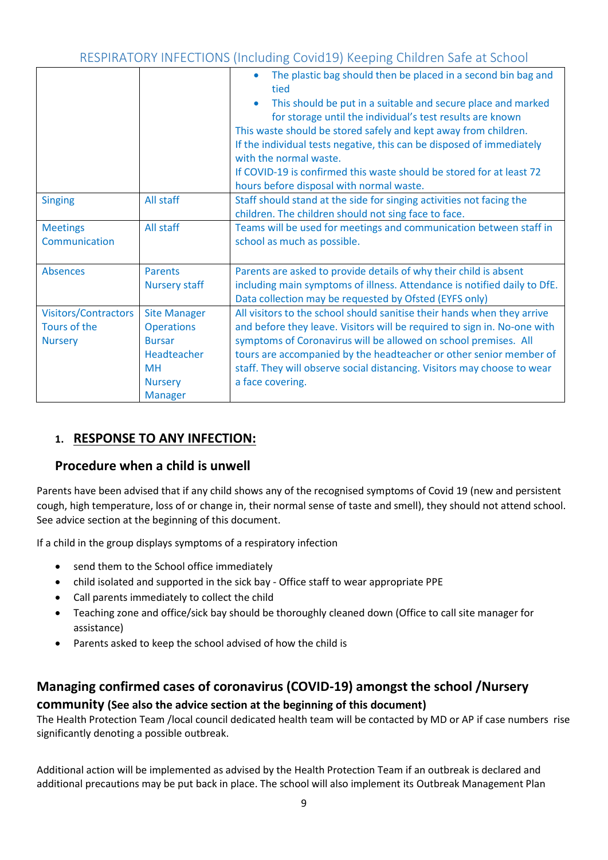|                                                               |                                                                                                                           | The plastic bag should then be placed in a second bin bag and<br>$\bullet$<br>tied<br>This should be put in a suitable and secure place and marked<br>for storage until the individual's test results are known<br>This waste should be stored safely and kept away from children.<br>If the individual tests negative, this can be disposed of immediately<br>with the normal waste.<br>If COVID-19 is confirmed this waste should be stored for at least 72<br>hours before disposal with normal waste. |
|---------------------------------------------------------------|---------------------------------------------------------------------------------------------------------------------------|-----------------------------------------------------------------------------------------------------------------------------------------------------------------------------------------------------------------------------------------------------------------------------------------------------------------------------------------------------------------------------------------------------------------------------------------------------------------------------------------------------------|
| <b>Singing</b>                                                | All staff                                                                                                                 | Staff should stand at the side for singing activities not facing the<br>children. The children should not sing face to face.                                                                                                                                                                                                                                                                                                                                                                              |
| <b>Meetings</b><br>Communication                              | All staff                                                                                                                 | Teams will be used for meetings and communication between staff in<br>school as much as possible.                                                                                                                                                                                                                                                                                                                                                                                                         |
| <b>Absences</b>                                               | <b>Parents</b><br><b>Nursery staff</b>                                                                                    | Parents are asked to provide details of why their child is absent<br>including main symptoms of illness. Attendance is notified daily to DfE.<br>Data collection may be requested by Ofsted (EYFS only)                                                                                                                                                                                                                                                                                                   |
| <b>Visitors/Contractors</b><br>Tours of the<br><b>Nursery</b> | <b>Site Manager</b><br><b>Operations</b><br><b>Bursar</b><br>Headteacher<br><b>MH</b><br><b>Nursery</b><br><b>Manager</b> | All visitors to the school should sanitise their hands when they arrive<br>and before they leave. Visitors will be required to sign in. No-one with<br>symptoms of Coronavirus will be allowed on school premises. All<br>tours are accompanied by the headteacher or other senior member of<br>staff. They will observe social distancing. Visitors may choose to wear<br>a face covering.                                                                                                               |

## **1. RESPONSE TO ANY INFECTION:**

### **Procedure when a child is unwell**

Parents have been advised that if any child shows any of the recognised symptoms of Covid 19 (new and persistent cough, high temperature, loss of or change in, their normal sense of taste and smell), they should not attend school. See advice section at the beginning of this document.

If a child in the group displays symptoms of a respiratory infection

- send them to the School office immediately
- child isolated and supported in the sick bay Office staff to wear appropriate PPE
- Call parents immediately to collect the child
- Teaching zone and office/sick bay should be thoroughly cleaned down (Office to call site manager for assistance)
- Parents asked to keep the school advised of how the child is

### **Managing confirmed cases of coronavirus (COVID-19) amongst the school /Nursery**

### **community (See also the advice section at the beginning of this document)**

The Health Protection Team /local council dedicated health team will be contacted by MD or AP if case numbers rise significantly denoting a possible outbreak.

Additional action will be implemented as advised by the Health Protection Team if an outbreak is declared and additional precautions may be put back in place. The school will also implement its Outbreak Management Plan